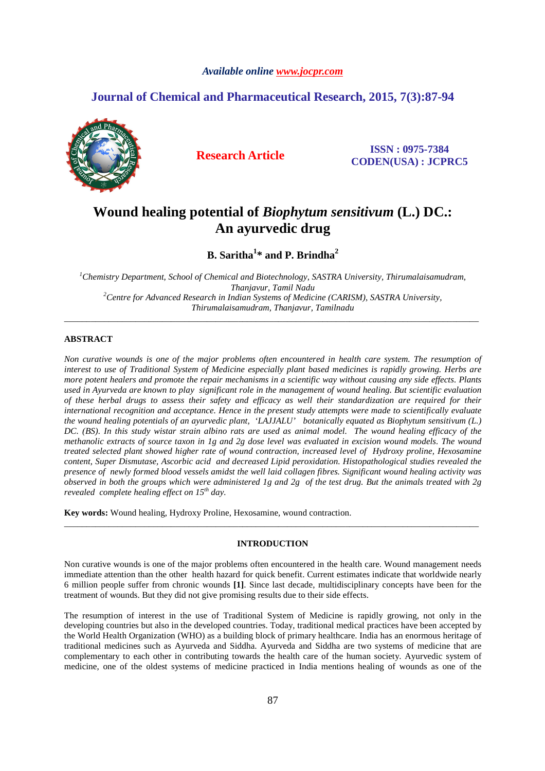# *Available online www.jocpr.com*

# **Journal of Chemical and Pharmaceutical Research, 2015, 7(3):87-94**



**Research Article ISSN : 0975-7384 CODEN(USA) : JCPRC5**

# **Wound healing potential of** *Biophytum sensitivum* **(L.) DC.: An ayurvedic drug**

**B. Saritha<sup>1</sup> \* and P. Brindha<sup>2</sup>**

*<sup>1</sup>Chemistry Department, School of Chemical and Biotechnology, SASTRA University, Thirumalaisamudram, Thanjavur, Tamil Nadu <sup>2</sup>Centre for Advanced Research in Indian Systems of Medicine (CARISM), SASTRA University, Thirumalaisamudram, Thanjavur, Tamilnadu* 

\_\_\_\_\_\_\_\_\_\_\_\_\_\_\_\_\_\_\_\_\_\_\_\_\_\_\_\_\_\_\_\_\_\_\_\_\_\_\_\_\_\_\_\_\_\_\_\_\_\_\_\_\_\_\_\_\_\_\_\_\_\_\_\_\_\_\_\_\_\_\_\_\_\_\_\_\_\_\_\_\_\_\_\_\_\_\_\_\_\_\_\_\_

# **ABSTRACT**

*Non curative wounds is one of the major problems often encountered in health care system. The resumption of interest to use of Traditional System of Medicine especially plant based medicines is rapidly growing. Herbs are more potent healers and promote the repair mechanisms in a scientific way without causing any side effects. Plants used in Ayurveda are known to play significant role in the management of wound healing. But scientific evaluation of these herbal drugs to assess their safety and efficacy as well their standardization are required for their international recognition and acceptance. Hence in the present study attempts were made to scientifically evaluate the wound healing potentials of an ayurvedic plant, 'LAJJALU' botanically equated as Biophytum sensitivum (L.) DC. (BS). In this study wistar strain albino rats are used as animal model. The wound healing efficacy of the methanolic extracts of source taxon in 1g and 2g dose level was evaluated in excision wound models. The wound treated selected plant showed higher rate of wound contraction, increased level of Hydroxy proline, Hexosamine content, Super Dismutase, Ascorbic acid and decreased Lipid peroxidation. Histopathological studies revealed the presence of newly formed blood vessels amidst the well laid collagen fibres. Significant wound healing activity was observed in both the groups which were administered 1g and 2g of the test drug. But the animals treated with 2g revealed complete healing effect on 15th day.* 

**Key words:** Wound healing, Hydroxy Proline, Hexosamine, wound contraction.

### **INTRODUCTION**

\_\_\_\_\_\_\_\_\_\_\_\_\_\_\_\_\_\_\_\_\_\_\_\_\_\_\_\_\_\_\_\_\_\_\_\_\_\_\_\_\_\_\_\_\_\_\_\_\_\_\_\_\_\_\_\_\_\_\_\_\_\_\_\_\_\_\_\_\_\_\_\_\_\_\_\_\_\_\_\_\_\_\_\_\_\_\_\_\_\_\_\_\_

Non curative wounds is one of the major problems often encountered in the health care. Wound management needs immediate attention than the other health hazard for quick benefit. Current estimates indicate that worldwide nearly 6 million people suffer from chronic wounds **[1]**. Since last decade, multidisciplinary concepts have been for the treatment of wounds. But they did not give promising results due to their side effects.

The resumption of interest in the use of Traditional System of Medicine is rapidly growing, not only in the developing countries but also in the developed countries. Today, traditional medical practices have been accepted by the World Health Organization (WHO) as a building block of primary healthcare. India has an enormous heritage of traditional medicines such as Ayurveda and Siddha. Ayurveda and Siddha are two systems of medicine that are complementary to each other in contributing towards the health care of the human society. Ayurvedic system of medicine, one of the oldest systems of medicine practiced in India mentions healing of wounds as one of the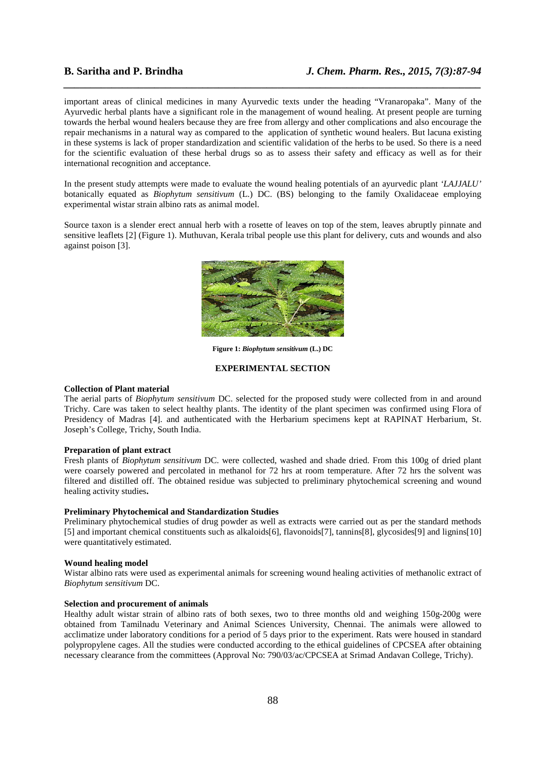important areas of clinical medicines in many Ayurvedic texts under the heading "Vranaropaka". Many of the Ayurvedic herbal plants have a significant role in the management of wound healing. At present people are turning towards the herbal wound healers because they are free from allergy and other complications and also encourage the repair mechanisms in a natural way as compared to the application of synthetic wound healers. But lacuna existing in these systems is lack of proper standardization and scientific validation of the herbs to be used. So there is a need for the scientific evaluation of these herbal drugs so as to assess their safety and efficacy as well as for their international recognition and acceptance.

*\_\_\_\_\_\_\_\_\_\_\_\_\_\_\_\_\_\_\_\_\_\_\_\_\_\_\_\_\_\_\_\_\_\_\_\_\_\_\_\_\_\_\_\_\_\_\_\_\_\_\_\_\_\_\_\_\_\_\_\_\_\_\_\_\_\_\_\_\_\_\_\_\_\_\_\_\_\_*

In the present study attempts were made to evaluate the wound healing potentials of an ayurvedic plant *'LAJJALU'* botanically equated as *Biophytum sensitivum* (L.) DC. (BS) belonging to the family Oxalidaceae employing experimental wistar strain albino rats as animal model.

Source taxon is a slender erect annual herb with a rosette of leaves on top of the stem, leaves abruptly pinnate and sensitive leaflets [2] (Figure 1). Muthuvan, Kerala tribal people use this plant for delivery, cuts and wounds and also against poison [3].



**Figure 1:** *Biophytum sensitivum* **(L.) DC**

# **EXPERIMENTAL SECTION**

### **Collection of Plant material**

The aerial parts of *Biophytum sensitivum* DC. selected for the proposed study were collected from in and around Trichy. Care was taken to select healthy plants. The identity of the plant specimen was confirmed using Flora of Presidency of Madras [4]. and authenticated with the Herbarium specimens kept at RAPINAT Herbarium, St. Joseph's College, Trichy, South India.

#### **Preparation of plant extract**

Fresh plants of *Biophytum sensitivum* DC. were collected, washed and shade dried. From this 100g of dried plant were coarsely powered and percolated in methanol for 72 hrs at room temperature. After 72 hrs the solvent was filtered and distilled off. The obtained residue was subjected to preliminary phytochemical screening and wound healing activity studies**.** 

### **Preliminary Phytochemical and Standardization Studies**

Preliminary phytochemical studies of drug powder as well as extracts were carried out as per the standard methods [5] and important chemical constituents such as alkaloids[6], flavonoids[7], tannins[8], glycosides[9] and lignins[10] were quantitatively estimated.

#### **Wound healing model**

Wistar albino rats were used as experimental animals for screening wound healing activities of methanolic extract of *Biophytum sensitivum* DC.

### **Selection and procurement of animals**

Healthy adult wistar strain of albino rats of both sexes, two to three months old and weighing 150g-200g were obtained from Tamilnadu Veterinary and Animal Sciences University, Chennai. The animals were allowed to acclimatize under laboratory conditions for a period of 5 days prior to the experiment. Rats were housed in standard polypropylene cages. All the studies were conducted according to the ethical guidelines of CPCSEA after obtaining necessary clearance from the committees (Approval No: 790/03/ac/CPCSEA at Srimad Andavan College, Trichy).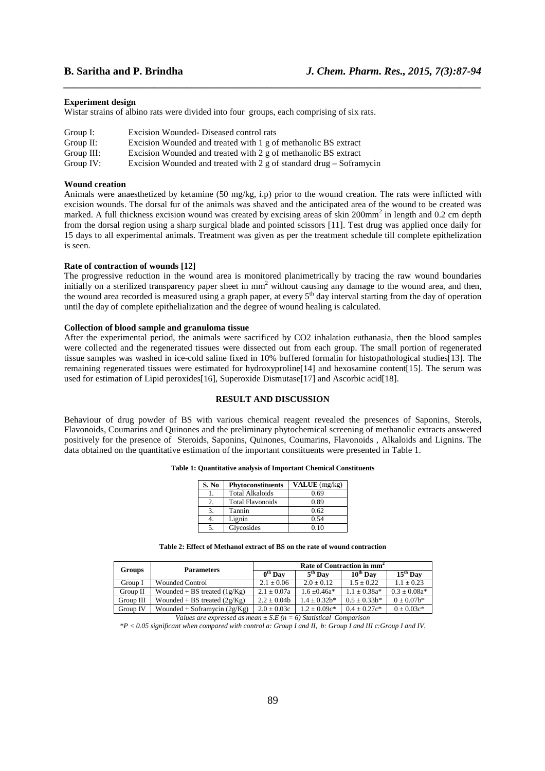#### **Experiment design**

Wistar strains of albino rats were divided into four groups, each comprising of six rats.

| Group I:   | Excision Wounded - Diseased control rats                              |
|------------|-----------------------------------------------------------------------|
| Group II:  | Excision Wounded and treated with 1 g of methanolic BS extract        |
| Group III: | Excision Wounded and treated with 2 g of methanolic BS extract        |
| Group IV:  | Excision Wounded and treated with $2$ g of standard drug – Soframycin |

#### **Wound creation**

Animals were anaesthetized by ketamine (50 mg/kg, i.p) prior to the wound creation. The rats were inflicted with excision wounds. The dorsal fur of the animals was shaved and the anticipated area of the wound to be created was marked. A full thickness excision wound was created by excising areas of skin 200mm<sup>2</sup> in length and 0.2 cm depth from the dorsal region using a sharp surgical blade and pointed scissors [11]. Test drug was applied once daily for 15 days to all experimental animals. Treatment was given as per the treatment schedule till complete epithelization is seen.

*\_\_\_\_\_\_\_\_\_\_\_\_\_\_\_\_\_\_\_\_\_\_\_\_\_\_\_\_\_\_\_\_\_\_\_\_\_\_\_\_\_\_\_\_\_\_\_\_\_\_\_\_\_\_\_\_\_\_\_\_\_\_\_\_\_\_\_\_\_\_\_\_\_\_\_\_\_\_*

### **Rate of contraction of wounds [12]**

The progressive reduction in the wound area is monitored planimetrically by tracing the raw wound boundaries initially on a sterilized transparency paper sheet in mm<sup>2</sup> without causing any damage to the wound area, and then, the wound area recorded is measured using a graph paper, at every  $5<sup>th</sup>$  day interval starting from the day of operation until the day of complete epithelialization and the degree of wound healing is calculated.

### **Collection of blood sample and granuloma tissue**

After the experimental period, the animals were sacrificed by CO2 inhalation euthanasia, then the blood samples were collected and the regenerated tissues were dissected out from each group. The small portion of regenerated tissue samples was washed in ice-cold saline fixed in 10% buffered formalin for histopathological studies[13]. The remaining regenerated tissues were estimated for hydroxyproline[14] and hexosamine content[15]. The serum was used for estimation of Lipid peroxides[16], Superoxide Dismutase[17] and Ascorbic acid[18].

# **RESULT AND DISCUSSION**

Behaviour of drug powder of BS with various chemical reagent revealed the presences of Saponins, Sterols, Flavonoids, Coumarins and Quinones and the preliminary phytochemical screening of methanolic extracts answered positively for the presence of Steroids, Saponins, Quinones, Coumarins, Flavonoids , Alkaloids and Lignins. The data obtained on the quantitative estimation of the important constituents were presented in Table 1.

| S. No | <b>Phytoconstituents</b> | <b>VALUE</b> $(mg/kg)$ |
|-------|--------------------------|------------------------|
|       | <b>Total Alkaloids</b>   | 0.69                   |
| 2.    | <b>Total Flavonoids</b>  | 0.89                   |
|       | Tannin                   | 0.62                   |
| 4.    | Lignin                   | 0.54                   |
|       | Glycosides               | 0.10                   |

| Table 2: Effect of Methanol extract of BS on the rate of wound contraction |  |  |
|----------------------------------------------------------------------------|--|--|
|----------------------------------------------------------------------------|--|--|

|           | <b>Parameters</b>              | Rate of Contraction in mm <sup>2</sup> |                   |                   |                   |  |  |
|-----------|--------------------------------|----------------------------------------|-------------------|-------------------|-------------------|--|--|
| Groups    |                                | $0th$ Day                              | $5th$ Day         | $10^{th}$ Dav     | $15th$ Day        |  |  |
| Group I   | <b>Wounded Control</b>         | $2.1 \pm 0.06$                         | $2.0 + 0.12$      | $1.5 + 0.22$      | $1.1 \pm 0.23$    |  |  |
| Group II  | Wounded + BS treated $(1g/Kg)$ | $2.1 \pm 0.07a$                        | $1.6 \pm 0.46a*$  | $1.1 \pm 0.38a*$  | $0.3 \pm 0.08a^*$ |  |  |
| Group III | Wounded + BS treated $(2g/Kg)$ | $2.2 \pm 0.04b$                        | $1.4 \pm 0.32b^*$ | $0.5 \pm 0.33b^*$ | $0 \pm 0.07b^*$   |  |  |
| Group IV  | Wounded + Soframycin $(2g/Kg)$ | $2.0 \pm 0.03c$                        | $1.2 \pm 0.09c^*$ | $0.4 \pm 0.27$ c* | $0 \pm 0.03c^*$   |  |  |

*Values are expressed as mean ± S.E (n = 6) Statistical Comparison* 

*\*P < 0.05 significant when compared with control a: Group I and II, b: Group I and III c:Group I and IV.*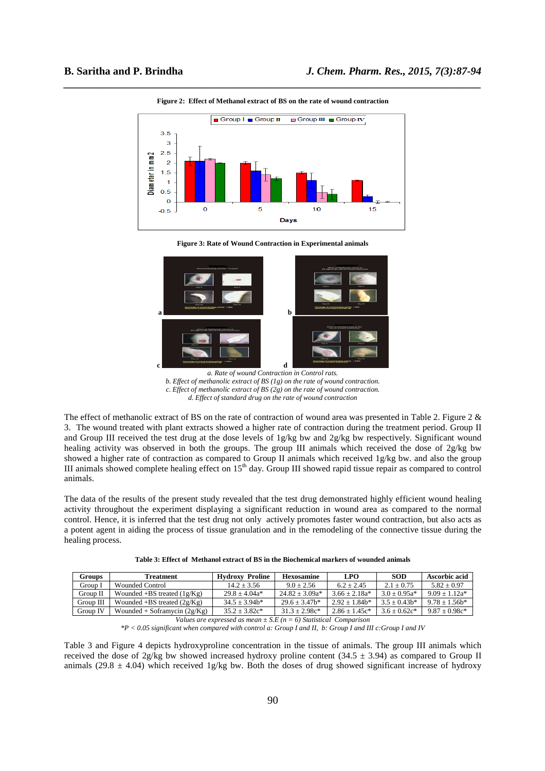

*\_\_\_\_\_\_\_\_\_\_\_\_\_\_\_\_\_\_\_\_\_\_\_\_\_\_\_\_\_\_\_\_\_\_\_\_\_\_\_\_\_\_\_\_\_\_\_\_\_\_\_\_\_\_\_\_\_\_\_\_\_\_\_\_\_\_\_\_\_\_\_\_\_\_\_\_\_\_* **Figure 2: Effect of Methanol extract of BS on the rate of wound contraction** 





*a. Rate of wound Contraction in Control rats. b. Effect of methanolic extract of BS (1g) on the rate of wound contraction. c. Effect of methanolic extract of BS (2g) on the rate of wound contraction. d. Effect of standard drug on the rate of wound contraction* 

The effect of methanolic extract of BS on the rate of contraction of wound area was presented in Table 2. Figure 2 & 3. The wound treated with plant extracts showed a higher rate of contraction during the treatment period. Group II and Group III received the test drug at the dose levels of 1g/kg bw and 2g/kg bw respectively. Significant wound healing activity was observed in both the groups. The group III animals which received the dose of 2g/kg bw showed a higher rate of contraction as compared to Group II animals which received 1g/kg bw. and also the group III animals showed complete healing effect on  $15<sup>th</sup>$  day. Group III showed rapid tissue repair as compared to control animals.

The data of the results of the present study revealed that the test drug demonstrated highly efficient wound healing activity throughout the experiment displaying a significant reduction in wound area as compared to the normal control. Hence, it is inferred that the test drug not only actively promotes faster wound contraction, but also acts as a potent agent in aiding the process of tissue granulation and in the remodeling of the connective tissue during the healing process.

| Groups                                                                | <b>Treatment</b>               | <b>Hydroxy Proline</b> | Hexosamine       | LPO              | <b>SOD</b>      | Ascorbic acid      |
|-----------------------------------------------------------------------|--------------------------------|------------------------|------------------|------------------|-----------------|--------------------|
| Group I                                                               | Wounded Control                | $14.2 + 3.56$          | $9.0 + 2.56$     | $6.2 \pm 2.45$   | $2.1 + 0.75$    | $5.82 + 0.97$      |
| Group II                                                              | Wounded +BS treated $(1g/Kg)$  | $29.8 + 4.04a*$        | $24.82 + 3.09a*$ | $3.66 + 2.18a*$  | $3.0 + 0.95a*$  | $9.09 + 1.12a*$    |
| Group III                                                             | Wounded +BS treated $(2g/Kg)$  | $34.5 + 3.94h*$        | $29.6 + 3.47h*$  | $2.92 + 1.84$ h* | $3.5 + 0.43h*$  | $9.78 + 1.56$ h*   |
| Group IV                                                              | Wounded + Soframycin $(2g/Kg)$ | $35.2 + 3.82c*$        | $31.3 + 2.98c*$  | $2.86 + 1.45c*$  | $3.6 + 0.62c^*$ | $9.87 \pm 0.98c^*$ |
| Values are expressed as mean $\pm$ S.E (n = 6) Statistical Comparison |                                |                        |                  |                  |                 |                    |

Table 3 and Figure 4 depicts hydroxyproline concentration in the tissue of animals. The group III animals which received the dose of 2g/kg bw showed increased hydroxy proline content (34.5  $\pm$  3.94) as compared to Group II animals (29.8  $\pm$  4.04) which received 1g/kg bw. Both the doses of drug showed significant increase of hydroxy

*<sup>\*</sup>P < 0.05 significant when compared with control a: Group I and II, b: Group I and III c:Group I and IV*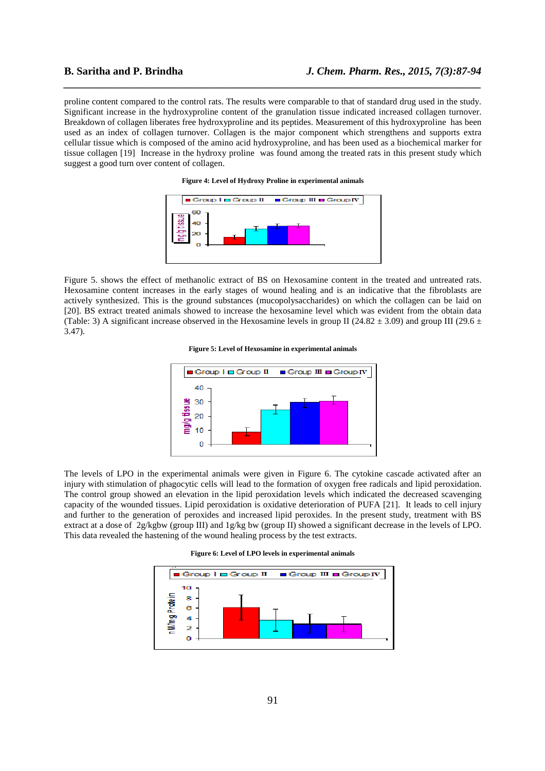proline content compared to the control rats. The results were comparable to that of standard drug used in the study. Significant increase in the hydroxyproline content of the granulation tissue indicated increased collagen turnover. Breakdown of collagen liberates free hydroxyproline and its peptides. Measurement of this hydroxyproline has been used as an index of collagen turnover. Collagen is the major component which strengthens and supports extra cellular tissue which is composed of the amino acid hydroxyproline, and has been used as a biochemical marker for tissue collagen [19] Increase in the hydroxy proline was found among the treated rats in this present study which suggest a good turn over content of collagen.

*\_\_\_\_\_\_\_\_\_\_\_\_\_\_\_\_\_\_\_\_\_\_\_\_\_\_\_\_\_\_\_\_\_\_\_\_\_\_\_\_\_\_\_\_\_\_\_\_\_\_\_\_\_\_\_\_\_\_\_\_\_\_\_\_\_\_\_\_\_\_\_\_\_\_\_\_\_\_*



**Figure 4: Level of Hydroxy Proline in experimental animals** 

Figure 5. shows the effect of methanolic extract of BS on Hexosamine content in the treated and untreated rats. Hexosamine content increases in the early stages of wound healing and is an indicative that the fibroblasts are actively synthesized. This is the ground substances (mucopolysaccharides) on which the collagen can be laid on [20]. BS extract treated animals showed to increase the hexosamine level which was evident from the obtain data (Table: 3) A significant increase observed in the Hexosamine levels in group II (24.82  $\pm$  3.09) and group III (29.6  $\pm$ 3.47).

**Figure 5: Level of Hexosamine in experimental animals** 



The levels of LPO in the experimental animals were given in Figure 6. The cytokine cascade activated after an injury with stimulation of phagocytic cells will lead to the formation of oxygen free radicals and lipid peroxidation. The control group showed an elevation in the lipid peroxidation levels which indicated the decreased scavenging capacity of the wounded tissues. Lipid peroxidation is oxidative deterioration of PUFA [21]. It leads to cell injury and further to the generation of peroxides and increased lipid peroxides. In the present study, treatment with BS extract at a dose of 2g/kgbw (group III) and 1g/kg bw (group II) showed a significant decrease in the levels of LPO. This data revealed the hastening of the wound healing process by the test extracts.

**Figure 6: Level of LPO levels in experimental animals** 

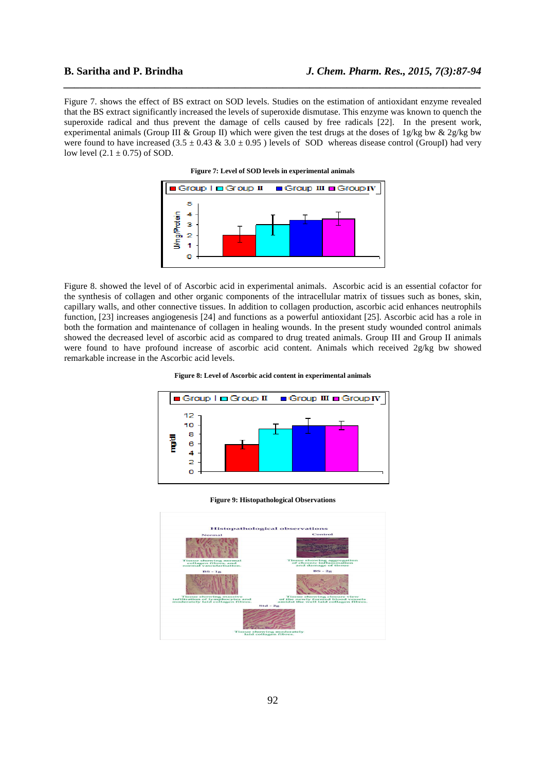Figure 7. shows the effect of BS extract on SOD levels. Studies on the estimation of antioxidant enzyme revealed that the BS extract significantly increased the levels of superoxide dismutase. This enzyme was known to quench the superoxide radical and thus prevent the damage of cells caused by free radicals [22]. In the present work, experimental animals (Group III & Group II) which were given the test drugs at the doses of 1g/kg bw & 2g/kg bw were found to have increased  $(3.5 \pm 0.43 \& 3.0 \pm 0.95)$  levels of SOD whereas disease control (GroupI) had very low level  $(2.1 \pm 0.75)$  of SOD.

*\_\_\_\_\_\_\_\_\_\_\_\_\_\_\_\_\_\_\_\_\_\_\_\_\_\_\_\_\_\_\_\_\_\_\_\_\_\_\_\_\_\_\_\_\_\_\_\_\_\_\_\_\_\_\_\_\_\_\_\_\_\_\_\_\_\_\_\_\_\_\_\_\_\_\_\_\_\_*





Figure 8. showed the level of of Ascorbic acid in experimental animals. Ascorbic acid is an essential cofactor for the synthesis of collagen and other organic components of the intracellular matrix of tissues such as bones, skin, capillary walls, and other connective tissues. In addition to collagen production, ascorbic acid enhances neutrophils function, [23] increases angiogenesis [24] and functions as a powerful antioxidant [25]. Ascorbic acid has a role in both the formation and maintenance of collagen in healing wounds. In the present study wounded control animals showed the decreased level of ascorbic acid as compared to drug treated animals. Group III and Group II animals were found to have profound increase of ascorbic acid content. Animals which received 2g/kg bw showed remarkable increase in the Ascorbic acid levels.





**Figure 9: Histopathological Observations** 

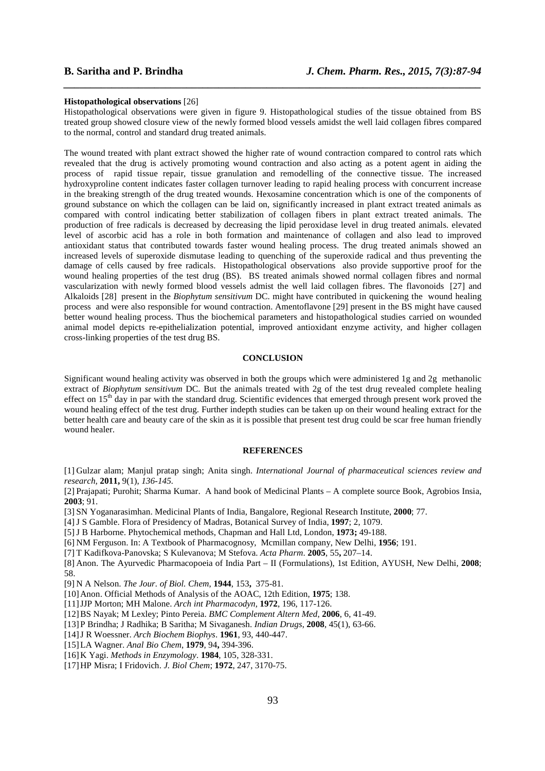#### **Histopathological observations** [26]

Histopathological observations were given in figure 9. Histopathological studies of the tissue obtained from BS treated group showed closure view of the newly formed blood vessels amidst the well laid collagen fibres compared to the normal, control and standard drug treated animals.

*\_\_\_\_\_\_\_\_\_\_\_\_\_\_\_\_\_\_\_\_\_\_\_\_\_\_\_\_\_\_\_\_\_\_\_\_\_\_\_\_\_\_\_\_\_\_\_\_\_\_\_\_\_\_\_\_\_\_\_\_\_\_\_\_\_\_\_\_\_\_\_\_\_\_\_\_\_\_*

The wound treated with plant extract showed the higher rate of wound contraction compared to control rats which revealed that the drug is actively promoting wound contraction and also acting as a potent agent in aiding the process of rapid tissue repair, tissue granulation and remodelling of the connective tissue. The increased hydroxyproline content indicates faster collagen turnover leading to rapid healing process with concurrent increase in the breaking strength of the drug treated wounds. Hexosamine concentration which is one of the components of ground substance on which the collagen can be laid on, significantly increased in plant extract treated animals as compared with control indicating better stabilization of collagen fibers in plant extract treated animals. The production of free radicals is decreased by decreasing the lipid peroxidase level in drug treated animals. elevated level of ascorbic acid has a role in both formation and maintenance of collagen and also lead to improved antioxidant status that contributed towards faster wound healing process. The drug treated animals showed an increased levels of superoxide dismutase leading to quenching of the superoxide radical and thus preventing the damage of cells caused by free radicals. Histopathological observations also provide supportive proof for the wound healing properties of the test drug (BS). BS treated animals showed normal collagen fibres and normal vascularization with newly formed blood vessels admist the well laid collagen fibres. The flavonoids[27] and Alkaloids [28] present in the *Biophytum sensitivum* DC. might have contributed in quickening the wound healing process and were also responsible for wound contraction. Amentoflavone [29] present in the BS might have caused better wound healing process. Thus the biochemical parameters and histopathological studies carried on wounded animal model depicts re-epithelialization potential, improved antioxidant enzyme activity, and higher collagen cross-linking properties of the test drug BS.

# **CONCLUSION**

Significant wound healing activity was observed in both the groups which were administered 1g and 2g methanolic extract of *Biophytum sensitivum* DC. But the animals treated with 2g of the test drug revealed complete healing effect on  $15<sup>th</sup>$  day in par with the standard drug. Scientific evidences that emerged through present work proved the wound healing effect of the test drug. Further indepth studies can be taken up on their wound healing extract for the better health care and beauty care of the skin as it is possible that present test drug could be scar free human friendly wound healer.

#### **REFERENCES**

[1] Gulzar alam; Manjul pratap singh; Anita singh. *International Journal of pharmaceutical sciences review and research,* **2011,** 9(1), *136-145.*

[2] Prajapati; Purohit; Sharma Kumar. A hand book of Medicinal Plants – A complete source Book, Agrobios Insia, **2003**; 91.

[3] SN Yoganarasimhan. Medicinal Plants of India, Bangalore, Regional Research Institute, **2000**; 77.

[4]J S Gamble. Flora of Presidency of Madras, Botanical Survey of India, **1997**; 2, 1079.

[5]J B Harborne. Phytochemical methods, Chapman and Hall Ltd, London, **1973;** 49-188.

[6] NM Ferguson. In: A Textbook of Pharmacognosy, Mcmillan company, New Delhi, **1956**; 191.

[7] T Kadifkova-Panovska; S Kulevanova; M Stefova. *Acta Pharm*. **2005**, 55**,** 207–14.

[8] Anon. The Ayurvedic Pharmacopoeia of India Part – II (Formulations), 1st Edition, AYUSH, New Delhi, **2008**; 58.

[9] N A Nelson. *The Jour. of Biol. Chem*, **1944**, 153**,** 375-81.

[10]Anon. Official Methods of Analysis of the AOAC, 12th Edition, **1975**; 138.

[11]JJP Morton; MH Malone. *Arch int Pharmacodyn,* **1972**, 196, 117-126.

[12]BS Nayak; M Lexley; Pinto Pereia. *BMC Complement Altern Med*, **2006**, 6, 41-49.

[13]P Brindha; J Radhika; B Saritha; M Sivaganesh. *Indian Drugs*, **2008**, 45(1), 63-66.

[14]J R Woessner. *Arch Biochem Biophys*. **1961**, 93, 440-447.

[15]LA Wagner. *Anal Bio Chem*, **1979**, 94**,** 394-396.

[16]K Yagi. *Methods in Enzymology*. **1984**, 105, 328-331.

[17]HP Misra; I Fridovich. *J. Biol Chem*; **1972**, 247, 3170-75.